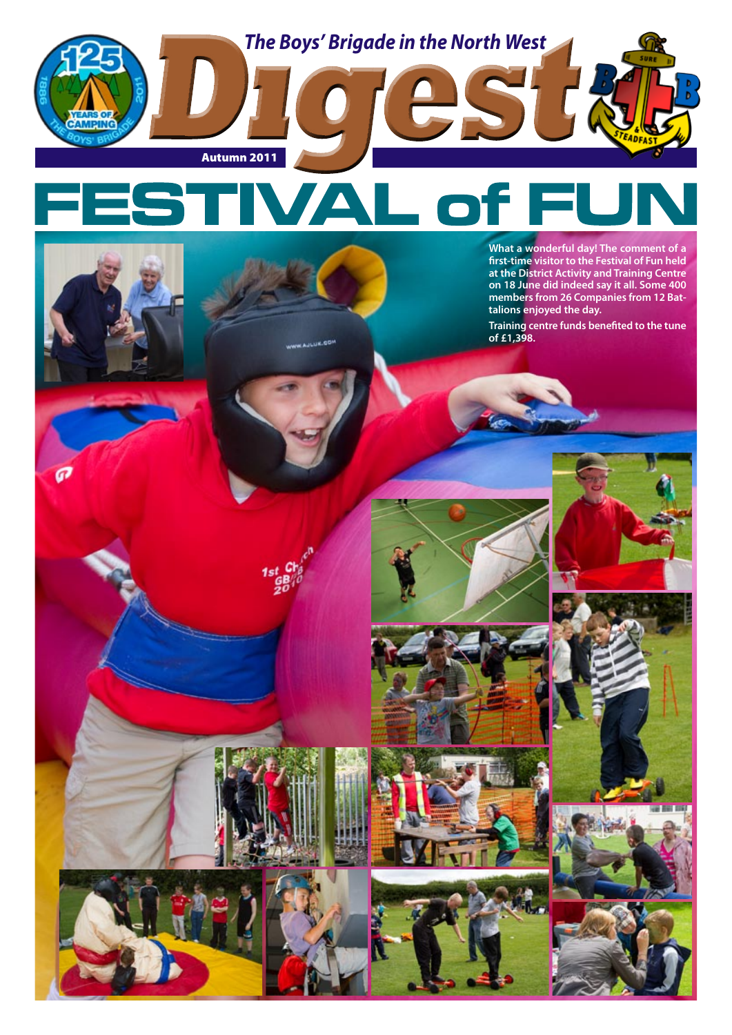

**JE.00** 

**What a wonderful day! The comment of a first-time visitor to the Festival of Fun held at the District Activity and Training Centre on 18 June did indeed say it all. Some 400 members from 26 Companies from 12 Battalions enjoyed the day.**

**Training centre funds benefited to the tune of £1,398.**

















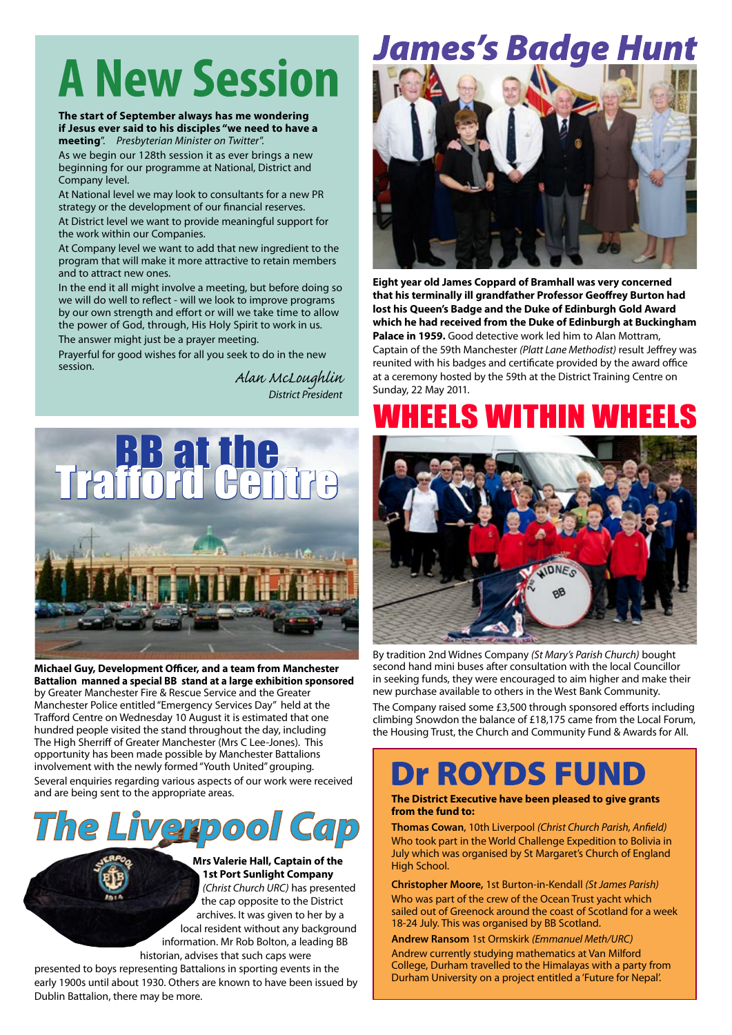# **A New Session**

#### **The start of September always has me wondering if Jesus ever said to his disciples "we need to have a meeting**". *Presbyterian Minister on Twitter*".

As we begin our 128th session it as ever brings a new beginning for our programme at National, District and Company level.

At National level we may look to consultants for a new PR strategy or the development of our financial reserves.

At District level we want to provide meaningful support for the work within our Companies.

At Company level we want to add that new ingredient to the program that will make it more attractive to retain members and to attract new ones.

In the end it all might involve a meeting, but before doing so we will do well to reflect - will we look to improve programs by our own strength and effort or will we take time to allow the power of God, through, His Holy Spirit to work in us.

The answer might just be a prayer meeting.

Prayerful for good wishes for all you seek to do in the new session.

*Alan McLoughlin District President*



**Michael Guy, Development Officer, and a team from Manchester Battalion manned a special BB stand at a large exhibition sponsored** by Greater Manchester Fire & Rescue Service and the Greater Manchester Police entitled "Emergency Services Day" held at the Trafford Centre on Wednesday 10 August it is estimated that one hundred people visited the stand throughout the day, including The High Sherriff of Greater Manchester (Mrs C Lee-Jones). This opportunity has been made possible by Manchester Battalions involvement with the newly formed "Youth United" grouping. Several enquiries regarding various aspects of our work were received and are being sent to the appropriate areas.



**Mrs Valerie Hall, Captain of the 1st Port Sunlight Company**  *(Christ Church URC)* has presented the cap opposite to the District archives. It was given to her by a local resident without any background information. Mr Rob Bolton, a leading BB historian, advises that such caps were

presented to boys representing Battalions in sporting events in the early 1900s until about 1930. Others are known to have been issued by Dublin Battalion, there may be more.

## James's Badge Hunt



**Eight year old James Coppard of Bramhall was very concerned that his terminally ill grandfather Professor Geoffrey Burton had lost his Queen's Badge and the Duke of Edinburgh Gold Award which he had received from the Duke of Edinburgh at Buckingham Palace in 1959.** Good detective work led him to Alan Mottram, Captain of the 59th Manchester *(Platt Lane Methodist)* result Jeffrey was reunited with his badges and certificate provided by the award office at a ceremony hosted by the 59th at the District Training Centre on Sunday, 22 May 2011.

### EELS WITHIN W



By tradition 2nd Widnes Company *(St Mary's Parish Church)* bought second hand mini buses after consultation with the local Councillor in seeking funds, they were encouraged to aim higher and make their new purchase available to others in the West Bank Community.

The Company raised some £3,500 through sponsored efforts including climbing Snowdon the balance of £18,175 came from the Local Forum, the Housing Trust, the Church and Community Fund & Awards for All.

### **Dr ROYDS FUN**

#### **The District Executive have been pleased to give grants from the fund to:**

**Thomas Cowan**, 10th Liverpool *(Christ Church Parish, Anfield)* Who took part in the World Challenge Expedition to Bolivia in July which was organised by St Margaret's Church of England High School.

**Christopher Moore,** 1st Burton-in-Kendall *(St James Parish)* Who was part of the crew of the Ocean Trust yacht which sailed out of Greenock around the coast of Scotland for a week 18-24 July. This was organised by BB Scotland.

**Andrew Ransom** 1st Ormskirk *(Emmanuel Meth/URC)* Andrew currently studying mathematics at Van Milford College, Durham travelled to the Himalayas with a party from Durham University on a project entitled a 'Future for Nepal'.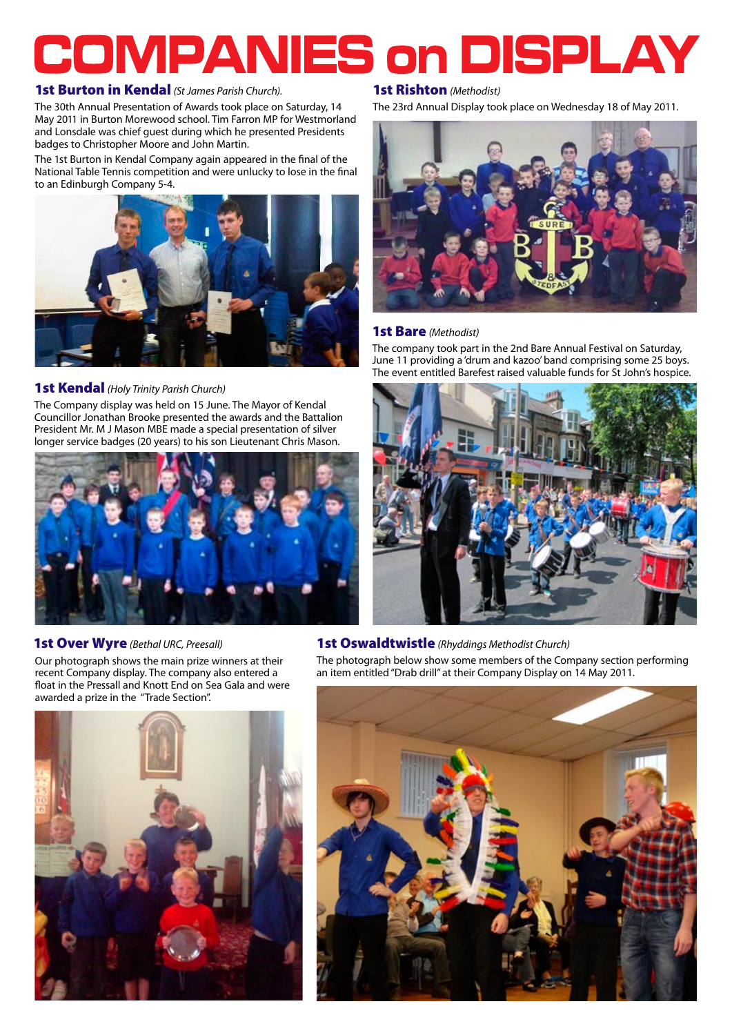# **COMPANIES on DISPLAY**

### 1st Burton in Kendal *(St James Parish Church)*.

The 30th Annual Presentation of Awards took place on Saturday, 14 May 2011 in Burton Morewood school. Tim Farron MP for Westmorland and Lonsdale was chief guest during which he presented Presidents badges to Christopher Moore and John Martin.

The 1st Burton in Kendal Company again appeared in the final of the National Table Tennis competition and were unlucky to lose in the final to an Edinburgh Company 5-4.



#### 1st Kendal *(Holy Trinity Parish Church)*

The Company display was held on 15 June. The Mayor of Kendal Councillor Jonathan Brooke presented the awards and the Battalion President Mr. M J Mason MBE made a special presentation of silver longer service badges (20 years) to his son Lieutenant Chris Mason.



Our photograph shows the main prize winners at their recent Company display. The company also entered a float in the Pressall and Knott End on Sea Gala and were awarded a prize in the "Trade Section".



#### 1st Rishton *(Methodist)*

The 23rd Annual Display took place on Wednesday 18 of May 2011.



#### 1st Bare *(Methodist)*

The company took part in the 2nd Bare Annual Festival on Saturday, June 11 providing a 'drum and kazoo' band comprising some 25 boys. The event entitled Barefest raised valuable funds for St John's hospice.



#### 1st Over Wyre *(Bethal URC, Preesall)* 1st Oswaldtwistle *(Rhyddings Methodist Church)*

The photograph below show some members of the Company section performing an item entitled "Drab drill" at their Company Display on 14 May 2011.